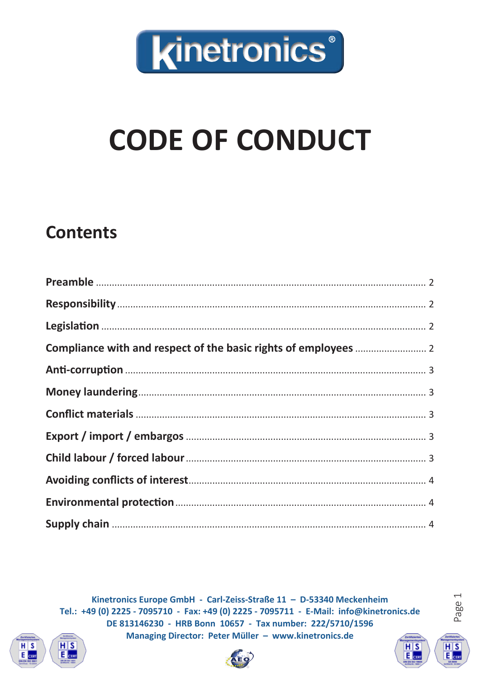

# **Contents**

Kinetronics Europe GmbH - Carl-Zeiss-Straße 11 - D-53340 Meckenheim Tel.: +49 (0) 2225 - 7095710 - Fax: +49 (0) 2225 - 7095711 - E-Mail: info@kinetronics.de DE 813146230 - HRB Bonn 10657 - Tax number: 222/5710/1596 Managing Director: Peter Müller - www.kinetronics.de







 $\overline{\phantom{0}}$ 

Page: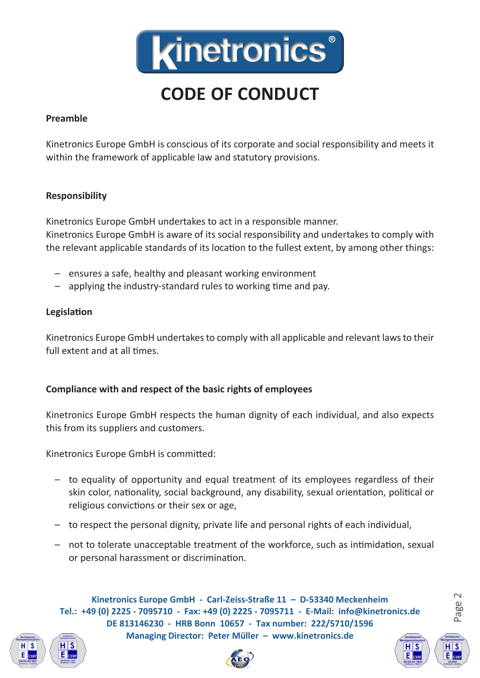

#### <span id="page-1-0"></span>**Preamble**

Kinetronics Europe GmbH is conscious of its corporate and social responsibility and meets it within the framework of applicable law and statutory provisions.

#### **Responsibility**

Kinetronics Europe GmbH undertakes to act in a responsible manner. Kinetronics Europe GmbH is aware of its social responsibility and undertakes to comply with the relevant applicable standards of its location to the fullest extent, by among other things:

- ensures a safe, healthy and pleasant working environment
- applying the industry-standard rules to working time and pay.

#### **Legislation**

Kinetronics Europe GmbH undertakes to comply with all applicable and relevant laws to their full extent and at all times.

#### **Compliance with and respect of the basic rights of employees**

Kinetronics Europe GmbH respects the human dignity of each individual, and also expects this from its suppliers and customers.

Kinetronics Europe GmbH is committed:

- to equality of opportunity and equal treatment of its employees regardless of their skin color, nationality, social background, any disability, sexual orientation, political or religious convictions or their sex or age,
- to respect the personal dignity, private life and personal rights of each individual,
- not to tolerate unacceptable treatment of the workforce, such as intimidation, sexual or personal harassment or discrimination.

**Kinetronics Europe GmbH - Carl-Zeiss-Straße 11 – D-53340 Meckenheim Tel.: +49 (0) 2225 - 7095710 - Fax: +49 (0) 2225 - 7095711 - E-Mail: info@kinetronics.de DE 813146230 - HRB Bonn 10657 - Tax number: 222/5710/1596 Managing Director: Peter Müller – www.kinetronics.de**

Page



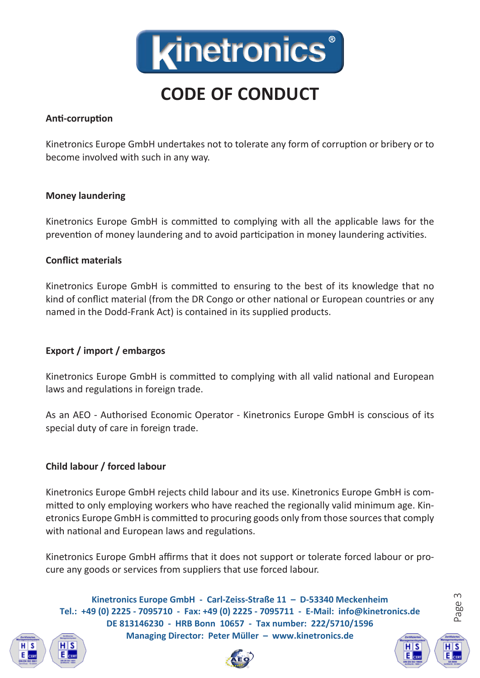

#### <span id="page-2-0"></span>**Anti-corruption**

Kinetronics Europe GmbH undertakes not to tolerate any form of corruption or bribery or to become involved with such in any way.

#### **Money laundering**

Kinetronics Europe GmbH is committed to complying with all the applicable laws for the prevention of money laundering and to avoid participation in money laundering activities.

#### **Conflict materials**

Kinetronics Europe GmbH is committed to ensuring to the best of its knowledge that no kind of conflict material (from the DR Congo or other national or European countries or any named in the Dodd-Frank Act) is contained in its supplied products.

#### **Export / import / embargos**

Kinetronics Europe GmbH is committed to complying with all valid national and European laws and regulations in foreign trade.

As an AEO - Authorised Economic Operator - Kinetronics Europe GmbH is conscious of its special duty of care in foreign trade.

#### **Child labour / forced labour**

Kinetronics Europe GmbH rejects child labour and its use. Kinetronics Europe GmbH is committed to only employing workers who have reached the regionally valid minimum age. Kinetronics Europe GmbH is committed to procuring goods only from those sources that comply with national and European laws and regulations.

Kinetronics Europe GmbH affirms that it does not support or tolerate forced labour or procure any goods or services from suppliers that use forced labour.

**Kinetronics Europe GmbH - Carl-Zeiss-Straße 11 – D-53340 Meckenheim Tel.: +49 (0) 2225 - 7095710 - Fax: +49 (0) 2225 - 7095711 - E-Mail: info@kinetronics.de DE 813146230 - HRB Bonn 10657 - Tax number: 222/5710/1596 Managing Director: Peter Müller – www.kinetronics.de**







Page 3